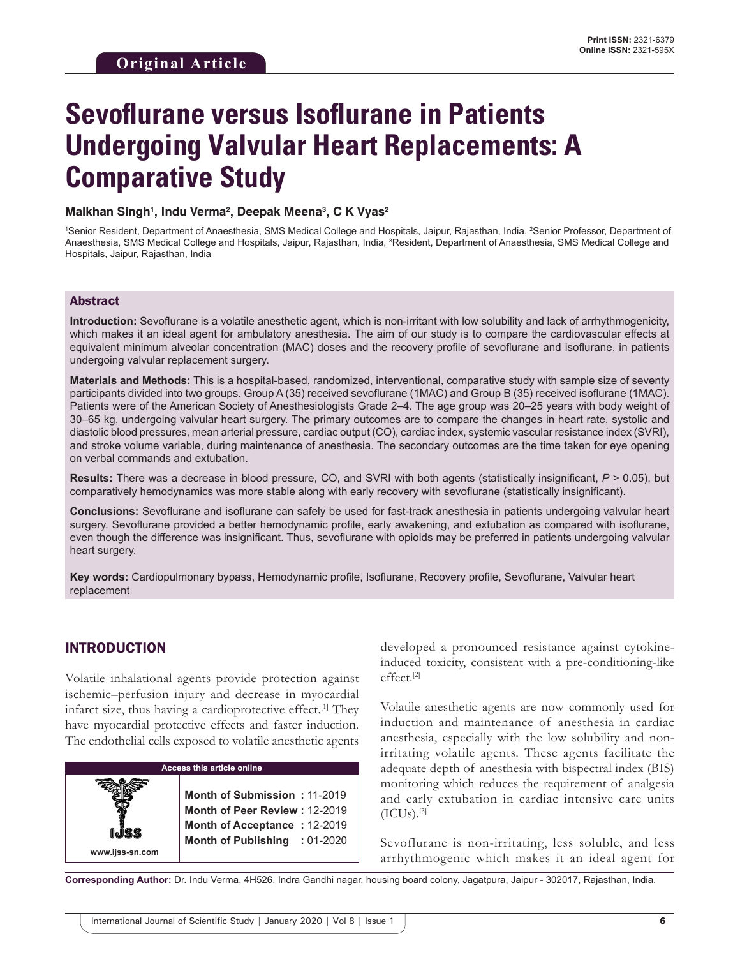# **Sevoflurane versus Isoflurane in Patients Undergoing Valvular Heart Replacements: A Comparative Study**

#### **Malkhan Singh1 , Indu Verma2 , Deepak Meena3 , C K Vyas2**

<sup>1</sup>Senior Resident, Department of Anaesthesia, SMS Medical College and Hospitals, Jaipur, Rajasthan, India, <sup>2</sup>Senior Professor, Department of Anaesthesia, SMS Medical College and Hospitals, Jaipur, Rajasthan, India, <sup>3</sup>Resident, Department of Anaesthesia, SMS Medical College and Hospitals, Jaipur, Rajasthan, India

#### Abstract

**Introduction:** Sevoflurane is a volatile anesthetic agent, which is non-irritant with low solubility and lack of arrhythmogenicity, which makes it an ideal agent for ambulatory anesthesia. The aim of our study is to compare the cardiovascular effects at equivalent minimum alveolar concentration (MAC) doses and the recovery profile of sevoflurane and isoflurane, in patients undergoing valvular replacement surgery.

**Materials and Methods:** This is a hospital-based, randomized, interventional, comparative study with sample size of seventy participants divided into two groups. Group A (35) received sevoflurane (1MAC) and Group B (35) received isoflurane (1MAC). Patients were of the American Society of Anesthesiologists Grade 2–4. The age group was 20–25 years with body weight of 30–65 kg, undergoing valvular heart surgery. The primary outcomes are to compare the changes in heart rate, systolic and diastolic blood pressures, mean arterial pressure, cardiac output (CO), cardiac index, systemic vascular resistance index (SVRI), and stroke volume variable, during maintenance of anesthesia. The secondary outcomes are the time taken for eye opening on verbal commands and extubation.

**Results:** There was a decrease in blood pressure, CO, and SVRI with both agents (statistically insignificant, *P* > 0.05), but comparatively hemodynamics was more stable along with early recovery with sevoflurane (statistically insignificant).

**Conclusions:** Sevoflurane and isoflurane can safely be used for fast-track anesthesia in patients undergoing valvular heart surgery. Sevoflurane provided a better hemodynamic profile, early awakening, and extubation as compared with isoflurane, even though the difference was insignificant. Thus, sevoflurane with opioids may be preferred in patients undergoing valvular heart surgery.

**Key words:** Cardiopulmonary bypass, Hemodynamic profile, Isoflurane, Recovery profile, Sevoflurane, Valvular heart replacement

## INTRODUCTION

**www.ijss-sn.com**

Volatile inhalational agents provide protection against ischemic–perfusion injury and decrease in myocardial infarct size, thus having a cardioprotective effect.<sup>[1]</sup> They have myocardial protective effects and faster induction. The endothelial cells exposed to volatile anesthetic agents



developed a pronounced resistance against cytokineinduced toxicity, consistent with a pre-conditioning-like effect.[2]

Volatile anesthetic agents are now commonly used for induction and maintenance of anesthesia in cardiac anesthesia, especially with the low solubility and nonirritating volatile agents. These agents facilitate the adequate depth of anesthesia with bispectral index (BIS) monitoring which reduces the requirement of analgesia and early extubation in cardiac intensive care units  $(ICUs).^{[3]}$ 

Sevoflurane is non-irritating, less soluble, and less arrhythmogenic which makes it an ideal agent for

**Corresponding Author:** Dr. Indu Verma, 4H526, Indra Gandhi nagar, housing board colony, Jagatpura, Jaipur - 302017, Rajasthan, India.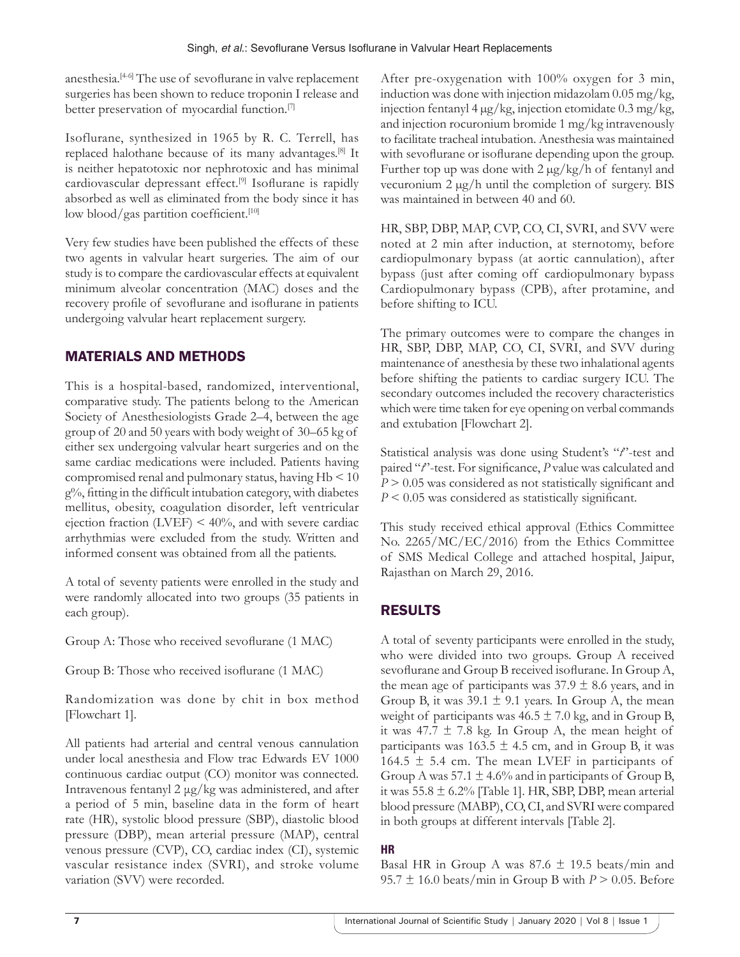anesthesia.<sup>[4-6]</sup> The use of sevoflurane in valve replacement surgeries has been shown to reduce troponin I release and better preservation of myocardial function.[7]

Isoflurane, synthesized in 1965 by R. C. Terrell, has replaced halothane because of its many advantages.[8] It is neither hepatotoxic nor nephrotoxic and has minimal cardiovascular depressant effect.[9] Isoflurane is rapidly absorbed as well as eliminated from the body since it has low blood/gas partition coefficient.<sup>[10]</sup>

Very few studies have been published the effects of these two agents in valvular heart surgeries. The aim of our study is to compare the cardiovascular effects at equivalent minimum alveolar concentration (MAC) doses and the recovery profile of sevoflurane and isoflurane in patients undergoing valvular heart replacement surgery.

# MATERIALS AND METHODS

This is a hospital-based, randomized, interventional, comparative study. The patients belong to the American Society of Anesthesiologists Grade 2–4, between the age group of 20 and 50 years with body weight of 30–65 kg of either sex undergoing valvular heart surgeries and on the same cardiac medications were included. Patients having compromised renal and pulmonary status, having Hb < 10 g%, fitting in the difficult intubation category, with diabetes mellitus, obesity, coagulation disorder, left ventricular ejection fraction  $(LVEF) < 40\%$ , and with severe cardiac arrhythmias were excluded from the study. Written and informed consent was obtained from all the patients.

A total of seventy patients were enrolled in the study and were randomly allocated into two groups (35 patients in each group).

Group A: Those who received sevoflurane (1 MAC)

Group B: Those who received isoflurane (1 MAC)

Randomization was done by chit in box method [Flowchart 1].

All patients had arterial and central venous cannulation under local anesthesia and Flow trac Edwards EV 1000 continuous cardiac output (CO) monitor was connected. Intravenous fentanyl 2 μg/kg was administered, and after a period of 5 min, baseline data in the form of heart rate (HR), systolic blood pressure (SBP), diastolic blood pressure (DBP), mean arterial pressure (MAP), central venous pressure (CVP), CO, cardiac index (CI), systemic vascular resistance index (SVRI), and stroke volume variation (SVV) were recorded.

After pre-oxygenation with 100% oxygen for 3 min, induction was done with injection midazolam 0.05 mg/kg, injection fentanyl 4 µg/kg, injection etomidate 0.3 mg/kg, and injection rocuronium bromide 1 mg/kg intravenously to facilitate tracheal intubation. Anesthesia was maintained with sevoflurane or isoflurane depending upon the group. Further top up was done with  $2 \mu g/kg/h$  of fentanyl and vecuronium 2 µg/h until the completion of surgery. BIS was maintained in between 40 and 60.

HR, SBP, DBP, MAP, CVP, CO, CI, SVRI, and SVV were noted at 2 min after induction, at sternotomy, before cardiopulmonary bypass (at aortic cannulation), after bypass (just after coming off cardiopulmonary bypass Cardiopulmonary bypass (CPB), after protamine, and before shifting to ICU.

The primary outcomes were to compare the changes in HR, SBP, DBP, MAP, CO, CI, SVRI, and SVV during maintenance of anesthesia by these two inhalational agents before shifting the patients to cardiac surgery ICU. The secondary outcomes included the recovery characteristics which were time taken for eye opening on verbal commands and extubation [Flowchart 2].

Statistical analysis was done using Student's "*t*"-test and paired "*t*"-test. For significance, *P* value was calculated and *P* > 0.05 was considered as not statistically significant and *P* < 0.05 was considered as statistically significant.

This study received ethical approval (Ethics Committee No. 2265/MC/EC/2016) from the Ethics Committee of SMS Medical College and attached hospital, Jaipur, Rajasthan on March 29, 2016.

# RESULTS

A total of seventy participants were enrolled in the study, who were divided into two groups. Group A received sevoflurane and Group B received isoflurane. In Group A, the mean age of participants was  $37.9 \pm 8.6$  years, and in Group B, it was  $39.1 \pm 9.1$  years. In Group A, the mean weight of participants was  $46.5 \pm 7.0$  kg, and in Group B, it was 47.7  $\pm$  7.8 kg. In Group A, the mean height of participants was  $163.5 \pm 4.5$  cm, and in Group B, it was 164.5  $\pm$  5.4 cm. The mean LVEF in participants of Group A was  $57.1 \pm 4.6\%$  and in participants of Group B, it was  $55.8 \pm 6.2\%$  [Table 1]. HR, SBP, DBP, mean arterial blood pressure (MABP), CO, CI, and SVRI were compared in both groups at different intervals [Table 2].

## **HR**

Basal HR in Group A was  $87.6 \pm 19.5$  beats/min and 95.7  $\pm$  16.0 beats/min in Group B with  $P > 0.05$ . Before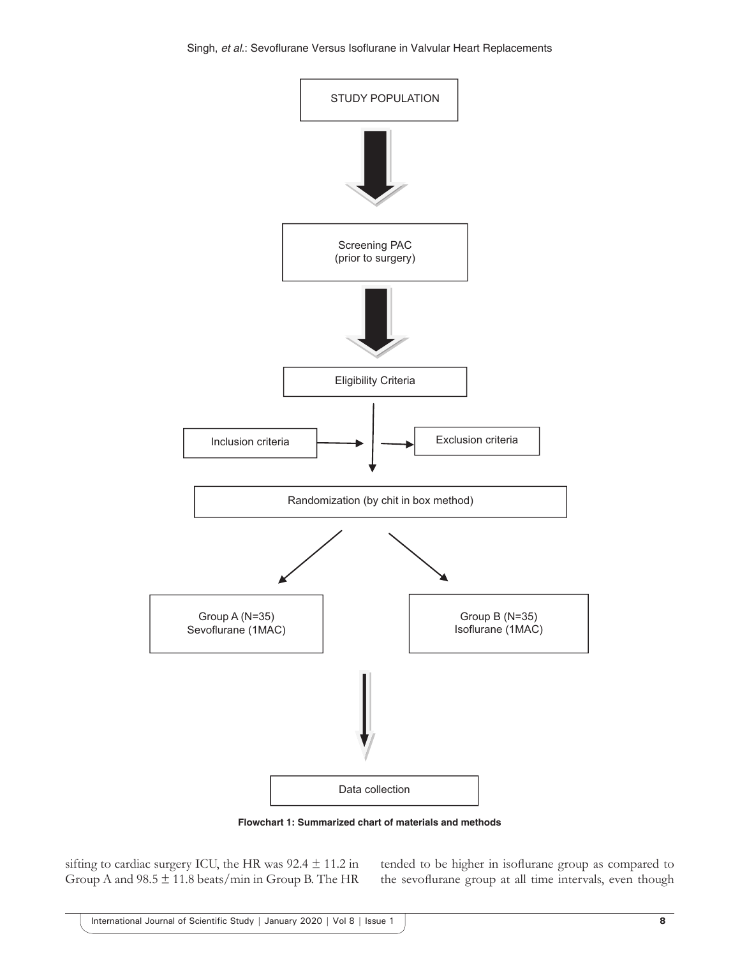

**Flowchart 1: Summarized chart of materials and methods**

sifting to cardiac surgery ICU, the HR was  $92.4 \pm 11.2$  in Group A and  $98.5 \pm 11.8$  beats/min in Group B. The HR

tended to be higher in isoflurane group as compared to the sevoflurane group at all time intervals, even though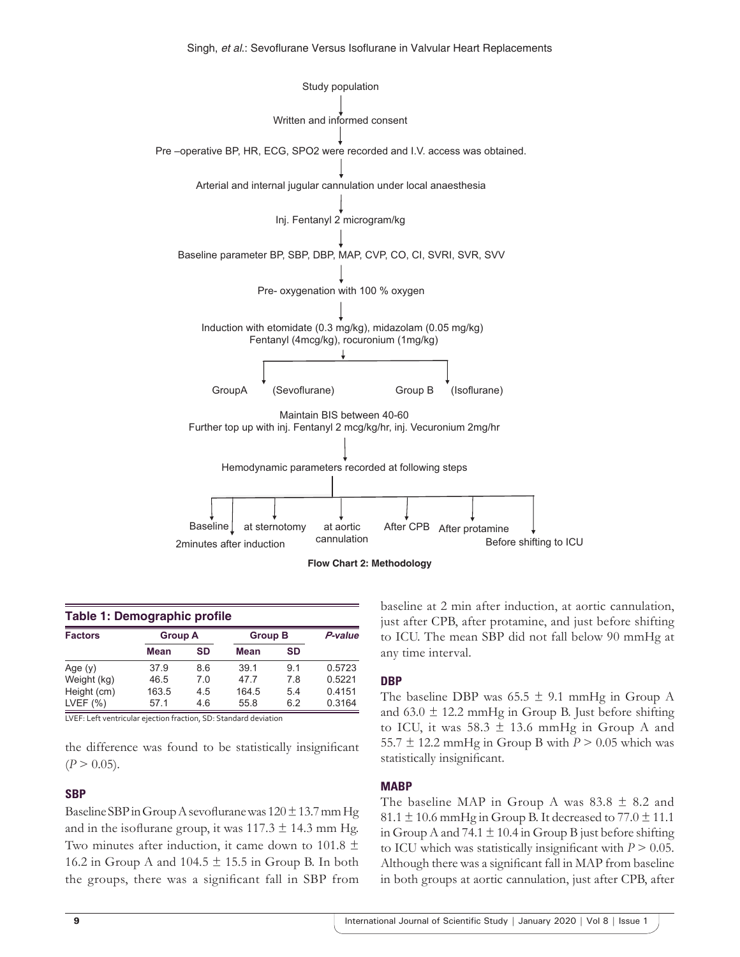



| Table 1: Demographic profile |             |                |       |                |        |  |
|------------------------------|-------------|----------------|-------|----------------|--------|--|
| <b>Factors</b>               |             | <b>Group A</b> |       | <b>Group B</b> |        |  |
|                              | <b>Mean</b> | SD             | Mean  | SD             |        |  |
| Age $(y)$                    | 37.9        | 8.6            | 39.1  | 91             | 0.5723 |  |
| Weight (kg)                  | 46.5        | 7.0            | 477   | 7.8            | 0.5221 |  |
| Height (cm)                  | 163.5       | 4.5            | 164.5 | 5.4            | 0.4151 |  |
| LVEF $(% )$                  | 57.1        | 4.6            | 55.8  | 6.2            | 0.3164 |  |

LVEF: Left ventricular ejection fraction, SD: Standard deviation

the difference was found to be statistically insignificant  $(P > 0.05)$ .

#### **SBP**

Baseline SBP in Group A sevoflurane was  $120 \pm 13.7$  mm Hg and in the isoflurane group, it was  $117.3 \pm 14.3$  mm Hg. Two minutes after induction, it came down to 101.8  $\pm$ 16.2 in Group A and  $104.5 \pm 15.5$  in Group B. In both the groups, there was a significant fall in SBP from baseline at 2 min after induction, at aortic cannulation, just after CPB, after protamine, and just before shifting to ICU. The mean SBP did not fall below 90 mmHg at any time interval.

#### **DBP**

The baseline DBP was  $65.5 \pm 9.1$  mmHg in Group A and  $63.0 \pm 12.2$  mmHg in Group B. Just before shifting to ICU, it was  $58.3 \pm 13.6$  mmHg in Group A and 55.7  $\pm$  12.2 mmHg in Group B with  $P > 0.05$  which was statistically insignificant.

#### **MABP**

The baseline MAP in Group A was  $83.8 \pm 8.2$  and 81.1  $\pm$  10.6 mmHg in Group B. It decreased to 77.0  $\pm$  11.1 in Group A and 74.1  $\pm$  10.4 in Group B just before shifting to ICU which was statistically insignificant with  $P > 0.05$ . Although there was a significant fall in MAP from baseline in both groups at aortic cannulation, just after CPB, after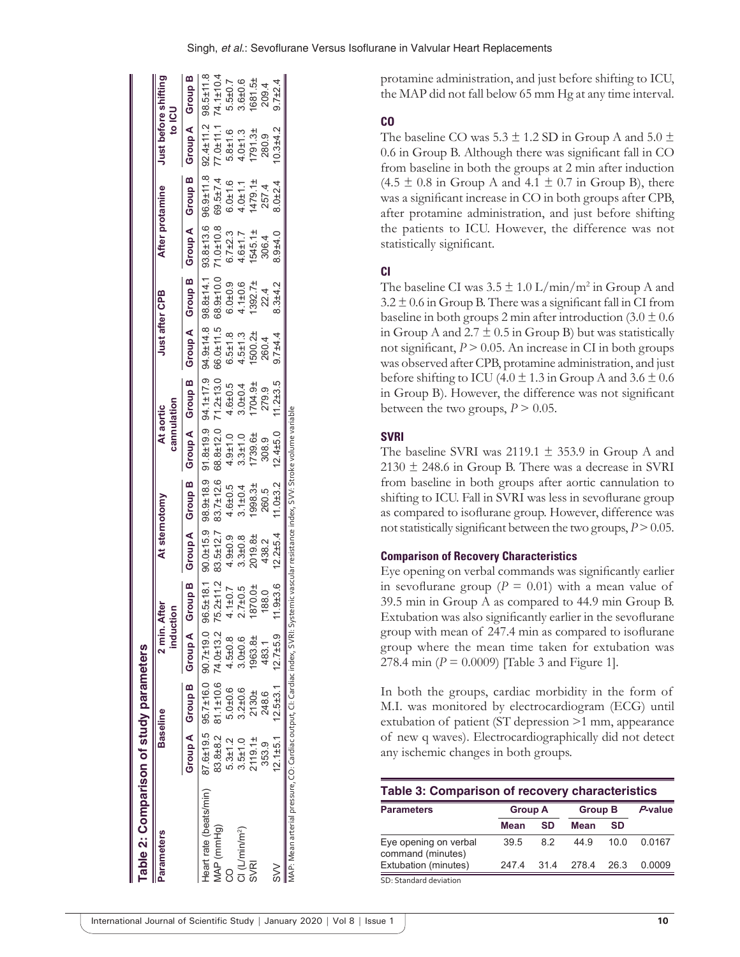| Table 2: Comparison of study parameters                                                                                                   |                |                                                                                                                                                                                                                               |                           |               |              |               |              |                          |               |                                                             |                 |                          |                                                           |                  |
|-------------------------------------------------------------------------------------------------------------------------------------------|----------------|-------------------------------------------------------------------------------------------------------------------------------------------------------------------------------------------------------------------------------|---------------------------|---------------|--------------|---------------|--------------|--------------------------|---------------|-------------------------------------------------------------|-----------------|--------------------------|-----------------------------------------------------------|------------------|
| <b>Parameters</b>                                                                                                                         |                | <b>Baseline</b>                                                                                                                                                                                                               | inductio                  | 2 min. After  |              | At sternotomy |              | cannulation<br>At aortic |               | Just after CPB                                              | After protamine |                          | Just before shifting<br><b>U2I</b>                        |                  |
|                                                                                                                                           |                | Grond A Group A Group B Group A Group A Group B Group A Group A Group A Group A Group A Group A Group A Group A Group A Group A Group A Group A Group A Group A Group A Group A Group A Group A Group A Group A Group A Group |                           |               |              |               |              |                          |               |                                                             |                 |                          |                                                           |                  |
| Heart rate (beats/min)                                                                                                                    |                | 87.6±19.5 95.7±16.0 90.7±19.0 96.5±18.1 90.0±15.9 98.9±18.9 94.1±17.9 94.9±14.8 98.8±14.8 98.8±14.1 93.8±13.6 96.9±11.8 92.4±11.8                                                                                             |                           |               |              |               |              |                          |               |                                                             |                 |                          |                                                           |                  |
| MAP (mmHg)                                                                                                                                |                | 83.8±8.2 81.1±10.6 74.0±13.2                                                                                                                                                                                                  |                           | 75.2±11.2     |              |               |              |                          |               | 83.5±12.7 83.7±12.6 68.8±12.0 71.2±13.0 66.0±11.5 68.9±10.0 | 71.0±10.8       | 69.5±7.4                 |                                                           |                  |
|                                                                                                                                           | $5.3 \pm 1.2$  | $5.0 + 0.6$                                                                                                                                                                                                                   | $4.5 \pm 0.8$             | $1.1 + 0.7$   | $4.9 + 0.9$  | $4.6 + 0.5$   | $4.9 + 1.0$  | $4.6 + 0.5$              | $6.5 \pm 1.8$ | $6.0 + 0.9$                                                 | $6.7 \pm 2.3$   |                          |                                                           |                  |
| $Cl$ (L/min/m <sup>2</sup> )                                                                                                              | $3.5 + 1.0$    | $3.2 + 0.6$                                                                                                                                                                                                                   | $3.0 + 0.6$               | $2.7 \pm 0.5$ | $3.3 + 0.8$  | $3.1 \pm 0.4$ | $3.3 + 1.0$  | $3.0 + 0.4$              | $4.5 + 1.3$   | $4.1 + 0.6$                                                 | $4.6 + 1.7$     | $6.0 \pm 1.6$<br>4.0±1.1 | 77.0±11.1 74.1±10.4<br>5.8±1.6 5.5±0.7<br>4.0±1.3 3.6±0.6 |                  |
| <b>SVRI</b>                                                                                                                               | 2119.11        | 2130±                                                                                                                                                                                                                         | 1963.8±                   | 870.0±        | 2019.8±      | 1998.3±       | 1739.6±      | I704.9±                  | 1500.2±       | 1392.7 <sup>±</sup>                                         | 1545.1±         | $1479.1\pm$              | 1791.3 <sub>±</sub>                                       |                  |
|                                                                                                                                           | 353.9          | 248.6                                                                                                                                                                                                                         | 483.1                     | 188.0         | 438.2        | 260.5         | 308.9        | 279.9                    | 260.4         | 22.4                                                        | 306.4           | 257.4                    | 280.9                                                     | 1681.5±<br>209.4 |
| $\gtrapprox$                                                                                                                              | $12.1 \pm 5.1$ |                                                                                                                                                                                                                               | $12.5\pm3.1$ $12.7\pm5.9$ | $1.9 + 3.6$   | $12.2 + 5.4$ | $11.0 + 3.2$  | $12.4 + 5.0$ | $11.2 + 3.5$             | $9.7 + 4.4$   | $8.3 + 4.2$                                                 | $3.9 + 4.0$     | $8.0 + 2.4$              | $0.3 + 4.2$                                               | $9.7 + 2.4$      |
| MAP: Mean arterial pressure, CO: Cardiac output, CI: Cardiac index, SVRI: Systemic vascular resistance index, SVV: Stroke volume variable |                |                                                                                                                                                                                                                               |                           |               |              |               |              |                          |               |                                                             |                 |                          |                                                           |                  |

protamine administration, and just before shifting to ICU, the MAP did not fall below 65 mm Hg at any time interval.

## **CO**

The baseline CO was  $5.3 \pm 1.2$  SD in Group A and  $5.0 \pm$ 0.6 in Group B. Although there was significant fall in CO from baseline in both the groups at 2 min after induction  $(4.5 \pm 0.8 \text{ in Group A and } 4.1 \pm 0.7 \text{ in Group B}),$  there was a significant increase in CO in both groups after CPB, after protamine administration, and just before shifting the patients to ICU. However, the difference was not statistically significant.

## **CI**

The baseline CI was  $3.5 \pm 1.0$  L/min/m<sup>2</sup> in Group A and  $3.2 \pm 0.6$  in Group B. There was a significant fall in CI from baseline in both groups 2 min after introduction  $(3.0 \pm 0.6)$ in Group A and  $2.7 \pm 0.5$  in Group B) but was statistically not significant,  $P > 0.05$ . An increase in CI in both groups was observed after CPB, protamine administration, and just before shifting to ICU (4.0  $\pm$  1.3 in Group A and 3.6  $\pm$  0.6 in Group B). However, the difference was not significant between the two groups,  $P > 0.05$ .

## **SVRI**

The baseline SVRI was 2119.1  $\pm$  353.9 in Group A and  $2130 \pm 248.6$  in Group B. There was a decrease in SVRI from baseline in both groups after aortic cannulation to shifting to ICU. Fall in SVRI was less in sevoflurane group as compared to isoflurane group. However, difference was not statistically significant between the two groups,  $P > 0.05$ .

## **Comparison of Recovery Characteristics**

Eye opening on verbal commands was significantly earlier in sevoflurane group  $(P = 0.01)$  with a mean value of 39.5 min in Group A as compared to 44.9 min Group B. Extubation was also significantly earlier in the sevoflurane group with mean of 247.4 min as compared to isoflurane group where the mean time taken for extubation was 278.4 min ( $P = 0.0009$ ) [Table 3 and Figure 1].

In both the groups, cardiac morbidity in the form of M.I. was monitored by electrocardiogram (ECG) until extubation of patient (ST depression >1 mm, appearance of new q waves). Electrocardiographically did not detect any ischemic changes in both groups.

| <b>Table 3: Comparison of recovery characteristics</b> |                |     |                |      |         |
|--------------------------------------------------------|----------------|-----|----------------|------|---------|
| <b>Parameters</b>                                      | <b>Group A</b> |     | <b>Group B</b> |      | P-value |
|                                                        | Mean           | SD  | <b>Mean</b>    | SD   |         |
| Eye opening on verbal<br>command (minutes)             | 39.5           | 82  | 44.9           | 10 Q | 0.0167  |
| Extubation (minutes)                                   | 2474           | 314 | 278.4          | 26.3 | 0.0009  |
| SD: Standard deviation                                 |                |     |                |      |         |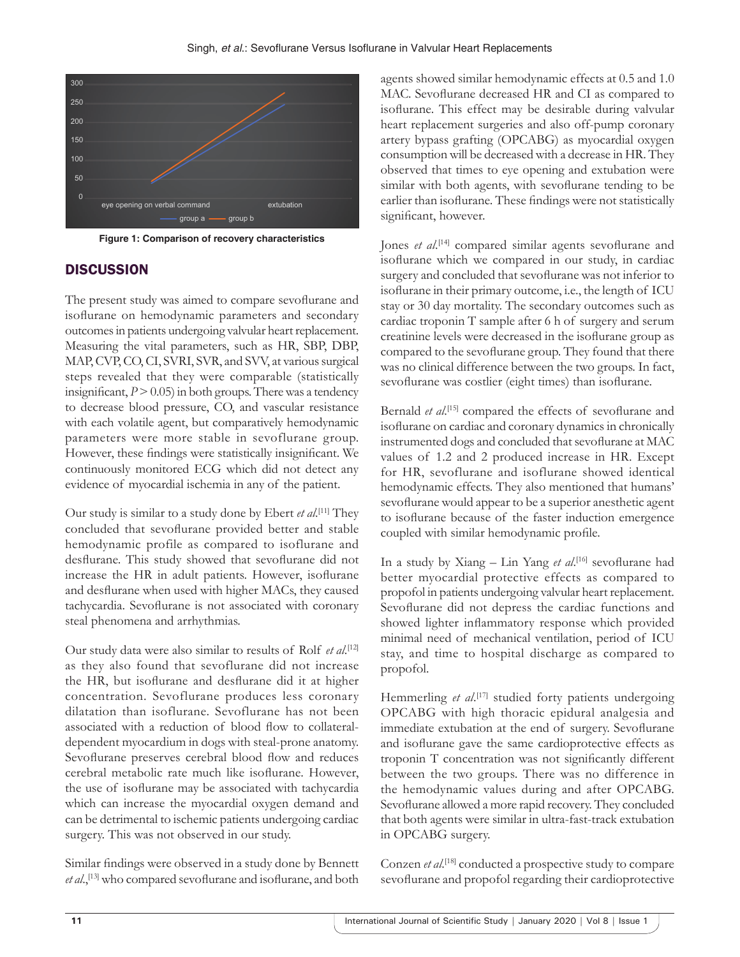

**Figure 1: Comparison of recovery characteristics**

## **DISCUSSION**

The present study was aimed to compare sevoflurane and isoflurane on hemodynamic parameters and secondary outcomes in patients undergoing valvular heart replacement. Measuring the vital parameters, such as HR, SBP, DBP, MAP, CVP, CO, CI, SVRI, SVR, and SVV, at various surgical steps revealed that they were comparable (statistically insignificant,  $P > 0.05$  in both groups. There was a tendency to decrease blood pressure, CO, and vascular resistance with each volatile agent, but comparatively hemodynamic parameters were more stable in sevoflurane group. However, these findings were statistically insignificant. We continuously monitored ECG which did not detect any evidence of myocardial ischemia in any of the patient.

Our study is similar to a study done by Ebert *et al*. [11] They concluded that sevoflurane provided better and stable hemodynamic profile as compared to isoflurane and desflurane. This study showed that sevoflurane did not increase the HR in adult patients. However, isoflurane and desflurane when used with higher MACs, they caused tachycardia. Sevoflurane is not associated with coronary steal phenomena and arrhythmias.

Our study data were also similar to results of Rolf et al.<sup>[12]</sup> as they also found that sevoflurane did not increase the HR, but isoflurane and desflurane did it at higher concentration. Sevoflurane produces less coronary dilatation than isoflurane. Sevoflurane has not been associated with a reduction of blood flow to collateraldependent myocardium in dogs with steal-prone anatomy. Sevoflurane preserves cerebral blood flow and reduces cerebral metabolic rate much like isoflurane. However, the use of isoflurane may be associated with tachycardia which can increase the myocardial oxygen demand and can be detrimental to ischemic patients undergoing cardiac surgery. This was not observed in our study.

Similar findings were observed in a study done by Bennett et al.,<sup>[13]</sup> who compared sevoflurane and isoflurane, and both agents showed similar hemodynamic effects at 0.5 and 1.0 MAC. Sevoflurane decreased HR and CI as compared to isoflurane. This effect may be desirable during valvular heart replacement surgeries and also off-pump coronary artery bypass grafting (OPCABG) as myocardial oxygen consumption will be decreased with a decrease in HR. They observed that times to eye opening and extubation were similar with both agents, with sevoflurane tending to be earlier than isoflurane. These findings were not statistically significant, however.

Jones *et al.*<sup>[14]</sup> compared similar agents sevoflurane and isoflurane which we compared in our study, in cardiac surgery and concluded that sevoflurane was not inferior to isoflurane in their primary outcome, i.e., the length of ICU stay or 30 day mortality. The secondary outcomes such as cardiac troponin T sample after 6 h of surgery and serum creatinine levels were decreased in the isoflurane group as compared to the sevoflurane group. They found that there was no clinical difference between the two groups. In fact, sevoflurane was costlier (eight times) than isoflurane.

Bernald *et al.*<sup>[15]</sup> compared the effects of sevoflurane and isoflurane on cardiac and coronary dynamics in chronically instrumented dogs and concluded that sevoflurane at MAC values of 1.2 and 2 produced increase in HR. Except for HR, sevoflurane and isoflurane showed identical hemodynamic effects. They also mentioned that humans' sevoflurane would appear to be a superior anesthetic agent to isoflurane because of the faster induction emergence coupled with similar hemodynamic profile.

In a study by Xiang – Lin Yang *et al*. [16] sevoflurane had better myocardial protective effects as compared to propofol in patients undergoing valvular heart replacement. Sevoflurane did not depress the cardiac functions and showed lighter inflammatory response which provided minimal need of mechanical ventilation, period of ICU stay, and time to hospital discharge as compared to propofol.

Hemmerling *et al.*<sup>[17]</sup> studied forty patients undergoing OPCABG with high thoracic epidural analgesia and immediate extubation at the end of surgery. Sevoflurane and isoflurane gave the same cardioprotective effects as troponin T concentration was not significantly different between the two groups. There was no difference in the hemodynamic values during and after OPCABG. Sevoflurane allowed a more rapid recovery. They concluded that both agents were similar in ultra-fast-track extubation in OPCABG surgery.

Conzen *et al*. [18] conducted a prospective study to compare sevoflurane and propofol regarding their cardioprotective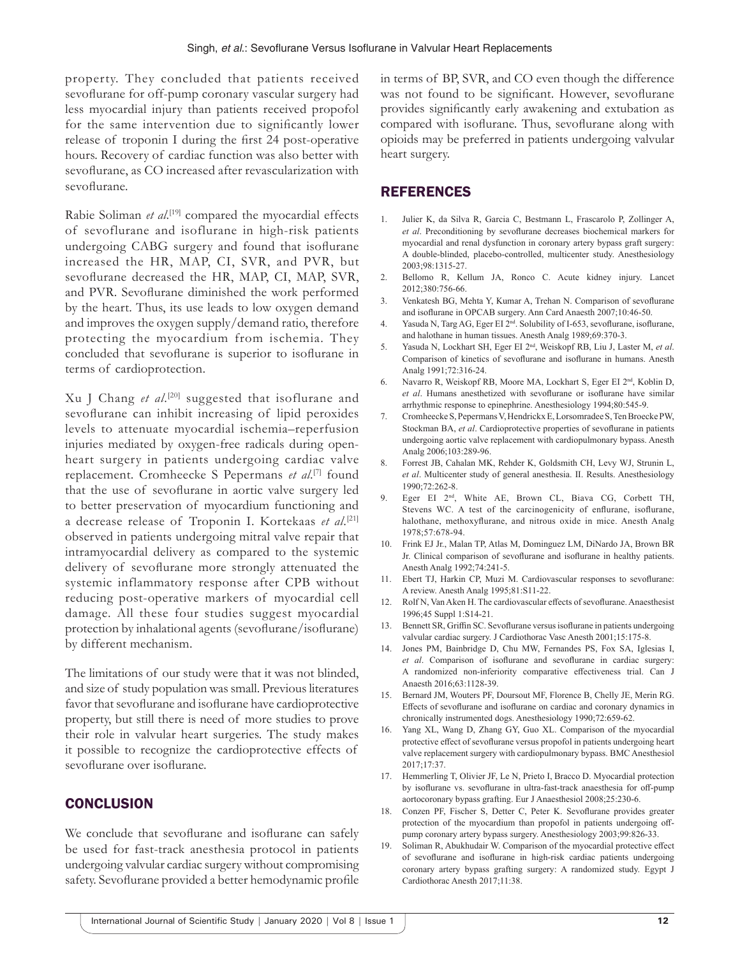property. They concluded that patients received sevoflurane for off-pump coronary vascular surgery had less myocardial injury than patients received propofol for the same intervention due to significantly lower release of troponin I during the first 24 post-operative hours. Recovery of cardiac function was also better with sevoflurane, as CO increased after revascularization with sevoflurane.

Rabie Soliman *et al.*<sup>[19]</sup> compared the myocardial effects of sevoflurane and isoflurane in high-risk patients undergoing CABG surgery and found that isoflurane increased the HR, MAP, CI, SVR, and PVR, but sevoflurane decreased the HR, MAP, CI, MAP, SVR, and PVR. Sevoflurane diminished the work performed by the heart. Thus, its use leads to low oxygen demand and improves the oxygen supply/demand ratio, therefore protecting the myocardium from ischemia. They concluded that sevoflurane is superior to isoflurane in terms of cardioprotection.

Xu J Chang et al.<sup>[20]</sup> suggested that isoflurane and sevoflurane can inhibit increasing of lipid peroxides levels to attenuate myocardial ischemia–reperfusion injuries mediated by oxygen-free radicals during openheart surgery in patients undergoing cardiac valve replacement. Cromheecke S Pepermans *et al*. [7] found that the use of sevoflurane in aortic valve surgery led to better preservation of myocardium functioning and a decrease release of Troponin I. Kortekaas et al.<sup>[21]</sup> observed in patients undergoing mitral valve repair that intramyocardial delivery as compared to the systemic delivery of sevoflurane more strongly attenuated the systemic inflammatory response after CPB without reducing post-operative markers of myocardial cell damage. All these four studies suggest myocardial protection by inhalational agents (sevoflurane/isoflurane) by different mechanism.

The limitations of our study were that it was not blinded, and size of study population was small. Previous literatures favor that sevoflurane and isoflurane have cardioprotective property, but still there is need of more studies to prove their role in valvular heart surgeries. The study makes it possible to recognize the cardioprotective effects of sevoflurane over isoflurane.

## **CONCLUSION**

We conclude that sevoflurane and isoflurane can safely be used for fast-track anesthesia protocol in patients undergoing valvular cardiac surgery without compromising safety. Sevoflurane provided a better hemodynamic profile in terms of BP, SVR, and CO even though the difference was not found to be significant. However, sevoflurane provides significantly early awakening and extubation as compared with isoflurane. Thus, sevoflurane along with opioids may be preferred in patients undergoing valvular heart surgery.

## **REFERENCES**

- 1. Julier K, da Silva R, Garcia C, Bestmann L, Frascarolo P, Zollinger A, *et al*. Preconditioning by sevoflurane decreases biochemical markers for myocardial and renal dysfunction in coronary artery bypass graft surgery: A double-blinded, placebo-controlled, multicenter study. Anesthesiology 2003;98:1315-27.
- 2. Bellomo R, Kellum JA, Ronco C. Acute kidney injury. Lancet 2012;380:756-66.
- 3. Venkatesh BG, Mehta Y, Kumar A, Trehan N. Comparison of sevoflurane and isoflurane in OPCAB surgery. Ann Card Anaesth 2007;10:46-50.
- 4. Yasuda N, Targ AG, Eger EI 2nd. Solubility of I-653, sevoflurane, isoflurane, and halothane in human tissues. Anesth Analg 1989;69:370-3.
- 5. Yasuda N, Lockhart SH, Eger EI 2nd, Weiskopf RB, Liu J, Laster M, *et al*. Comparison of kinetics of sevoflurane and isoflurane in humans. Anesth Analg 1991;72:316-24.
- 6. Navarro R, Weiskopf RB, Moore MA, Lockhart S, Eger EI 2nd, Koblin D, *et al*. Humans anesthetized with sevoflurane or isoflurane have similar arrhythmic response to epinephrine. Anesthesiology 1994;80:545-9.
- 7. Cromheecke S, Pepermans V, Hendrickx E, Lorsomradee S, Ten BroeckePW, Stockman BA, *et al*. Cardioprotective properties of sevoflurane in patients undergoing aortic valve replacement with cardiopulmonary bypass. Anesth Analg 2006;103:289-96.
- 8. Forrest JB, Cahalan MK, Rehder K, Goldsmith CH, Levy WJ, Strunin L, *et al*. Multicenter study of general anesthesia. II. Results. Anesthesiology 1990;72:262-8.
- 9. Eger EI 2nd, White AE, Brown CL, Biava CG, Corbett TH, Stevens WC. A test of the carcinogenicity of enflurane, isoflurane, halothane, methoxyflurane, and nitrous oxide in mice. Anesth Analg 1978;57:678-94.
- 10. Frink EJ Jr., Malan TP, Atlas M, Dominguez LM, DiNardo JA, Brown BR Jr. Clinical comparison of sevoflurane and isoflurane in healthy patients. Anesth Analg 1992;74:241-5.
- 11. Ebert TJ, Harkin CP, Muzi M. Cardiovascular responses to sevoflurane: A review. Anesth Analg 1995;81:S11-22.
- 12. Rolf N, Van Aken H. The cardiovascular effects of sevoflurane. Anaesthesist 1996;45 Suppl 1:S14-21.
- 13. Bennett SR, Griffin SC. Sevoflurane versus isoflurane in patients undergoing valvular cardiac surgery. J Cardiothorac Vasc Anesth 2001;15:175-8.
- 14. Jones PM, Bainbridge D, Chu MW, Fernandes PS, Fox SA, Iglesias I, *et al*. Comparison of isoflurane and sevoflurane in cardiac surgery: A randomized non-inferiority comparative effectiveness trial. Can J Anaesth 2016;63:1128-39.
- 15. Bernard JM, Wouters PF, Doursout MF, Florence B, Chelly JE, Merin RG. Effects of sevoflurane and isoflurane on cardiac and coronary dynamics in chronically instrumented dogs. Anesthesiology 1990;72:659-62.
- 16. Yang XL, Wang D, Zhang GY, Guo XL. Comparison of the myocardial protective effect of sevoflurane versus propofol in patients undergoing heart valve replacement surgery with cardiopulmonary bypass. BMC Anesthesiol 2017;17:37.
- 17. Hemmerling T, Olivier JF, Le N, Prieto I, Bracco D. Myocardial protection by isoflurane vs. sevoflurane in ultra-fast-track anaesthesia for off-pump aortocoronary bypass grafting. Eur J Anaesthesiol 2008;25:230-6.
- 18. Conzen PF, Fischer S, Detter C, Peter K. Sevoflurane provides greater protection of the myocardium than propofol in patients undergoing offpump coronary artery bypass surgery. Anesthesiology 2003;99:826-33.
- 19. Soliman R, Abukhudair W. Comparison of the myocardial protective effect of sevoflurane and isoflurane in high-risk cardiac patients undergoing coronary artery bypass grafting surgery: A randomized study. Egypt J Cardiothorac Anesth 2017;11:38.